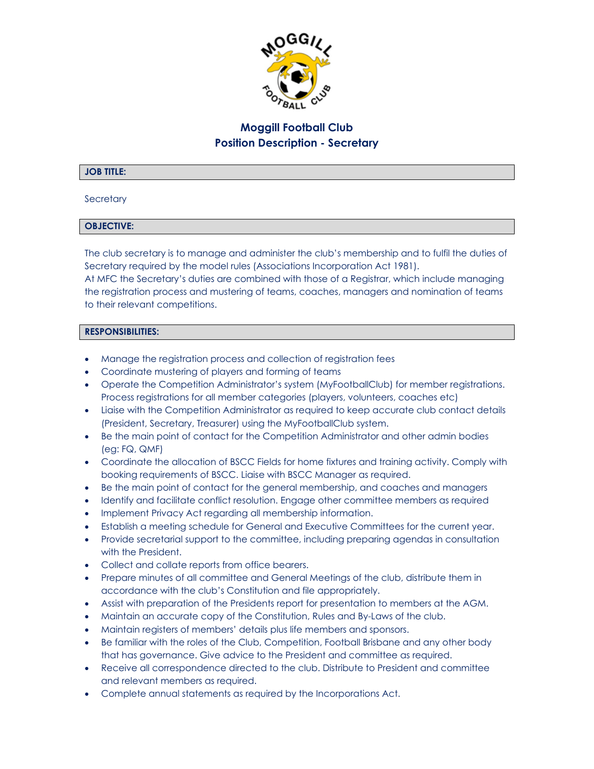

# **Moggill Football Club Position Description - Secretary**

## **JOB TITLE:**

#### **Secretary**

## **OBJECTIVE:**

The club secretary is to manage and administer the club's membership and to fulfil the duties of Secretary required by the model rules (Associations Incorporation Act 1981).

At MFC the Secretary's duties are combined with those of a Registrar, which include managing the registration process and mustering of teams, coaches, managers and nomination of teams to their relevant competitions.

#### **RESPONSIBILITIES:**

- Manage the registration process and collection of registration fees
- Coordinate mustering of players and forming of teams
- Operate the Competition Administrator's system (MyFootballClub) for member registrations. Process registrations for all member categories (players, volunteers, coaches etc)
- Liaise with the Competition Administrator as required to keep accurate club contact details (President, Secretary, Treasurer) using the MyFootballClub system.
- Be the main point of contact for the Competition Administrator and other admin bodies (eg: FQ, QMF)
- Coordinate the allocation of BSCC Fields for home fixtures and training activity. Comply with booking requirements of BSCC. Liaise with BSCC Manager as required.
- Be the main point of contact for the general membership, and coaches and managers
- Identify and facilitate conflict resolution. Engage other committee members as required
- Implement Privacy Act regarding all membership information.
- Establish a meeting schedule for General and Executive Committees for the current year.
- Provide secretarial support to the committee, including preparing agendas in consultation with the President.
- Collect and collate reports from office bearers.
- Prepare minutes of all committee and General Meetings of the club, distribute them in accordance with the club's Constitution and file appropriately.
- Assist with preparation of the Presidents report for presentation to members at the AGM.
- Maintain an accurate copy of the Constitution, Rules and By-Laws of the club.
- Maintain registers of members' details plus life members and sponsors.
- Be familiar with the roles of the Club, Competition, Football Brisbane and any other body that has governance. Give advice to the President and committee as required.
- Receive all correspondence directed to the club. Distribute to President and committee and relevant members as required.
- Complete annual statements as required by the Incorporations Act.